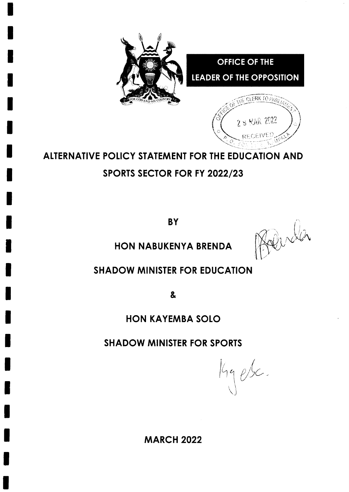

# ALTERNATIVE POLICY STATEMENT FOR THE EDUCATION AND SPoRTS SECTOR FOR FY 2022/23

**BY** 

Roberta

1\.

HON NABUKENYA BRENDA

## SHADOW MINISTER FOR EDUCATION

&

## HON KAYEMBA SOLO

SHADOW MINISTER FOR SPORTS

 $\bigcup$ 

MARCH 2022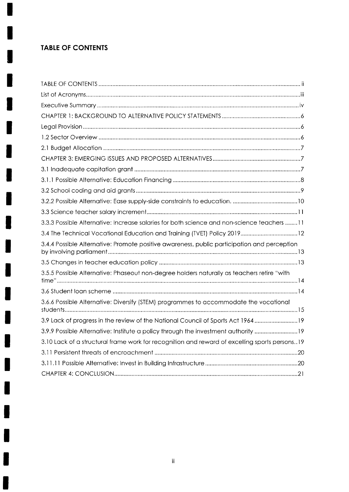### **TABLE OF CONTENTS**

 $\begin{picture}(20,20) \put(0,0){\line(1,0){10}} \put(15,0){\line(1,0){10}} \put(15,0){\line(1,0){10}} \put(15,0){\line(1,0){10}} \put(15,0){\line(1,0){10}} \put(15,0){\line(1,0){10}} \put(15,0){\line(1,0){10}} \put(15,0){\line(1,0){10}} \put(15,0){\line(1,0){10}} \put(15,0){\line(1,0){10}} \put(15,0){\line(1,0){10}} \put(15,0){\line(1$ 

 $\mathbf{I}$ 

I

I

IJ

١

 $\blacksquare$ 

j

| 3.3.3 Possible Alternative: Increase salaries for both science and non-science teachers 11    |
|-----------------------------------------------------------------------------------------------|
| 3.4 The Technical Vocational Education and Training (TVET) Policy 201912                      |
| 3.4.4 Possible Alternative: Promote positive awareness, public participation and perception   |
|                                                                                               |
| 3.5.5 Possible Alternative: Phaseout non-degree holders naturally as teachers retire "with    |
|                                                                                               |
| 3.6.6 Possible Alternative: Diversify (STEM) programmes to accommodate the vocational         |
| 3.9 Lack of progress in the review of the National Council of Sports Act 196419               |
| 3.9.9 Possible Alternative: Institute a policy through the investment authority 19            |
| 3.10 Lack of a structural frame work for recognition and reward of excelling sports persons19 |
|                                                                                               |
|                                                                                               |
|                                                                                               |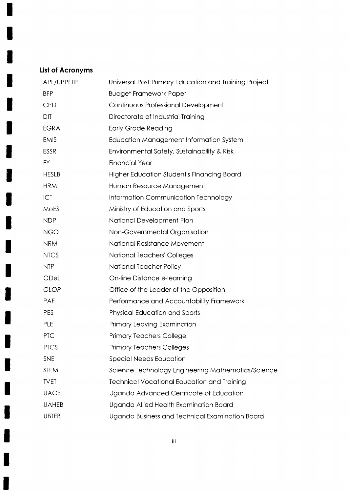### List of Acronyms

 $\mathbf{I}$ 

H

I

I

I

 $\blacksquare$ 

I

| APL/UPPETP   | Universal Post Primary Education and Training Project |  |  |  |  |
|--------------|-------------------------------------------------------|--|--|--|--|
| <b>BFP</b>   | <b>Budget Framework Paper</b>                         |  |  |  |  |
| <b>CPD</b>   | Continuous Professional Development                   |  |  |  |  |
| DIT          | Directorate of Industrial Training                    |  |  |  |  |
| <b>EGRA</b>  | <b>Early Grade Reading</b>                            |  |  |  |  |
| <b>EMIS</b>  | Education Management Information System               |  |  |  |  |
| <b>ESSR</b>  | Environmental Safety, Sustainability & Risk           |  |  |  |  |
| FY.          | <b>Financial Year</b>                                 |  |  |  |  |
| <b>HESLB</b> | Higher Education Student's Financing Board            |  |  |  |  |
| <b>HRM</b>   | Human Resource Management                             |  |  |  |  |
| ICT          | Information Communication Technology                  |  |  |  |  |
| <b>MOES</b>  | Ministry of Education and Sports                      |  |  |  |  |
| <b>NDP</b>   | National Development Plan                             |  |  |  |  |
| <b>NGO</b>   | Non-Governmental Organisation                         |  |  |  |  |
| <b>NRM</b>   | National Resistance Movement                          |  |  |  |  |
| <b>NTCS</b>  | National Teachers' Colleges                           |  |  |  |  |
| <b>NTP</b>   | National Teacher Policy                               |  |  |  |  |
| ODeL         | On-line Distance e-learning                           |  |  |  |  |
| <b>OLOP</b>  | Office of the Leader of the Opposition                |  |  |  |  |
| PAF          | Performance and Accountability Framework              |  |  |  |  |
| PES          | <b>Physical Education and Sports</b>                  |  |  |  |  |
| PLE          | Primary Leaving Examination                           |  |  |  |  |
| <b>PTC</b>   | <b>Primary Teachers College</b>                       |  |  |  |  |
| <b>PTCS</b>  | <b>Primary Teachers Colleges</b>                      |  |  |  |  |
| <b>SNE</b>   | Special Needs Education                               |  |  |  |  |
| <b>STEM</b>  | Science Technology Engineering Mathematics/Science    |  |  |  |  |
| <b>TVET</b>  | <b>Technical Vocational Education and Training</b>    |  |  |  |  |
| <b>UACE</b>  | Uganda Advanced Certificate of Education              |  |  |  |  |
| <b>UAHEB</b> | Uganda Allied Health Examination Board                |  |  |  |  |
| UBTEB        | Uganda Business and Technical Examination Board       |  |  |  |  |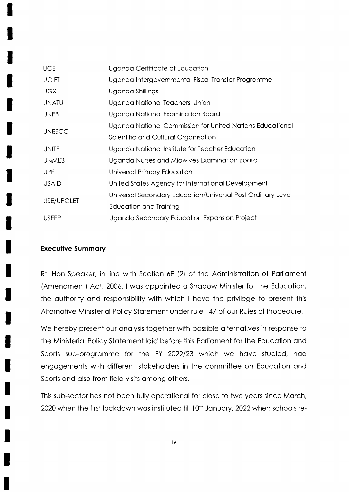| <b>UCE</b>    | Uganda Certificate of Education                             |  |  |  |  |
|---------------|-------------------------------------------------------------|--|--|--|--|
| <b>UGIFT</b>  | Uganda Intergovernmental Fiscal Transfer Programme          |  |  |  |  |
| UGX           | Uganda Shillings                                            |  |  |  |  |
| <b>UNATU</b>  | Uganda National Teachers' Union                             |  |  |  |  |
| <b>UNEB</b>   | Uganda National Examination Board                           |  |  |  |  |
| <b>UNESCO</b> | Uganda National Commission for United Nations Educational,  |  |  |  |  |
|               | Scientific and Cultural Organisation                        |  |  |  |  |
| <b>UNITE</b>  | Uganda National Institute for Teacher Education             |  |  |  |  |
| <b>UNMEB</b>  | Uganda Nurses and Midwives Examination Board                |  |  |  |  |
| <b>UPE</b>    | Universal Primary Education                                 |  |  |  |  |
| <b>USAID</b>  | United States Agency for International Development          |  |  |  |  |
| USE/UPOLET    | Universal Secondary Education/Universal Post Ordinary Level |  |  |  |  |
|               | Education and Training                                      |  |  |  |  |
| <b>USEEP</b>  | Uganda Secondary Education Expansion Project                |  |  |  |  |

#### **Executive Summary**

Rt. Hon Speaker, in line with Section 6E (2) of the Administration of Parliament (Amendment) Act, 2006, I was appointed a Shadow Minister for the Education, the authority and responsibility with which I have the privilege to present this Alternative Ministerial Policy Statement under rule 147 of our Rules of Procedure.

We hereby present our analysis together with possible alternatives in response to the Ministerial Policy Statement laid before this Parliament for the Education and Sports sub-programme for the FY 2022/23 which we have studied, had engagements with different stakeholders in the committee on Education and Sports and also from field visits among others.

This sub-sector has not been fully operational for close to two years since March, 2020 when the first lockdown was instituted till 10<sup>th</sup> January, 2022 when schools re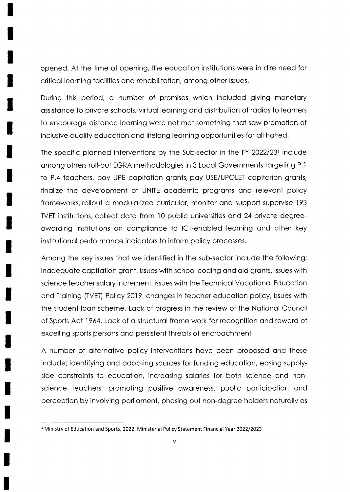opened. At the time of opening, the educotion institutions were in dire need for criticol leorning focilities ond rehobilitotion, omong other issues.

During this period, o number of promises which included giving monetory ossistonce to privote schools, virtuol leorning ond distribution of rodios to leorners to encourage distance learning were not met something that saw promotion of inclusive quolity educotion ond lifelong leorning opportunities for oll holted.

The specific planned interventions by the Sub-sector in the FY 2022/23<sup>1</sup> include omong others roll-out EGRA methodologies in 3 Locol Governments torgeting P.l to P.4 teachers, pay UPE capitation grants, pay USE/UPOLET capitation grants, finolize the development of UNITE ocodemic progroms ond relevont policy frameworks, rollout a modularized curricular, monitor and support supervise 193 TVET institutions, collect data from 10 public universities and 24 private degreeowording institutions on complionce to |CT-enobled leorning ond other key institutionol performonce indicotors to inform policy processes.

Among the key issues thot we identified in the sub-sector include the following; inodequote copitotion gront, issues with school coding ond oid gronts, issues with science teocher solory increment, issues with the Technicol Vocotionol Educotion ond Troining (TVEI) Policy 2019, chonges in teocher educotion policy, issues with the student loon scheme, Lock of progress in the review of the Notionol Council of Sports Act 1964, Lack of a structural frame work for recognition and reward of excelling sports persons ond persistent threots of encroochment

A number of olternotive policy interventions hove been proposed ond these include; identifying and adopting sources for funding education, easing supplyside constraints to education, increasing salaries for both science and nonscience teochers, promoting positive oworeness, public porticipotion ond perception by involving porlioment, phosing out non-degree holders noturolly os

<sup>&</sup>lt;sup>1</sup> Ministry of Education and Sports, 2022. Ministerial Policy Statement Financial Year 2022/2023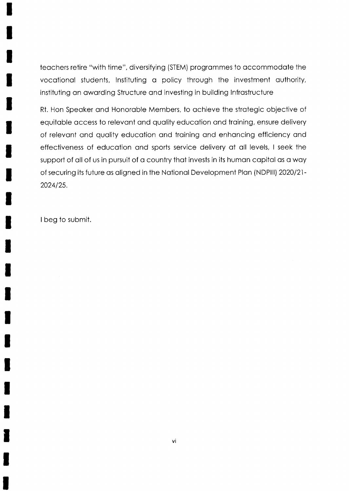teachers retire "with time", diversifying (STEM) programmes to accommodate the vocational students, Instituting a policy through the investment authority, instituting an awarding Structure and investing in building Infrastructure

Rt. Hon Speaker and Honorable Members, to achieve the strategic objective of equitable access to relevant and quality education and training, ensure delivery of relevant and quality education and training and enhancing efficiency and effectiveness of education and sports service delivery at all levels, I seek the support of all of us in pursuit of a country that invests in its human capital as a way of securing its future as aligned in the National Development Plan (NDPIII) 2020/21-2024/25.

I beg to submit.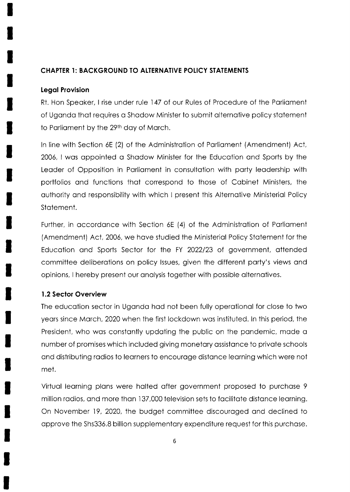#### CHAPTER l: BACKGROUND TO ALTERNAIIVE POIICY SIATEMENTS

#### legol Provision

Rt. Hon Speaker, I rise under rule 147 of our Rules of Procedure of the Parliament of Ugondo thot requires o Shodow Minister to submit olternotive policy stotement to Parliament by the 29<sup>th</sup> day of March.

In line with Section 6E (2) of the Administration of Parliament (Amendment) Act, 2006, I wos oppointed o Shodow Minister for the Educotion ond Sports by the Leader of Opposition in Parliament in consultation with party leadership with portfolios ond functions thot correspond to those of Cobinet Ministers, the outhority ond responsibility with which I present this Alternotive Ministeriol Policy Stotement.

Further, in occordonce with Section 6E (4) of the Administrotion of Porlioment (Amendment) Act, 2006, we hove studied the Ministeriol Policy Stotement for ihe Education and Sports Sector for the FY 2022/23 of government, attended committee deliberotions on policy lssues, given the different porty's views ond opinions, I hereby present our onolysis together with possible olternotives.

#### 1.2 Sector Overview

The educotion sector in Ugondo hod not been fully operotionol for close to iwo yeors since Morch, 2020 when the first lockdown wos instituted. ln this period, the President, who was constantly updating the public on the pandemic, made a number of promises which included giving monetary assistance to private schools and distributing radios to learners to encourage distance learning which were not met.

Virtual learning plans were halted after government proposed to purchase 9 million radios, and more than 137,000 television sets to facilitate distance learning. On November 19,2020, the budget committee discouroged ond declined to opprove the Shs336.8 billion supplementory expenditure request for this purchose.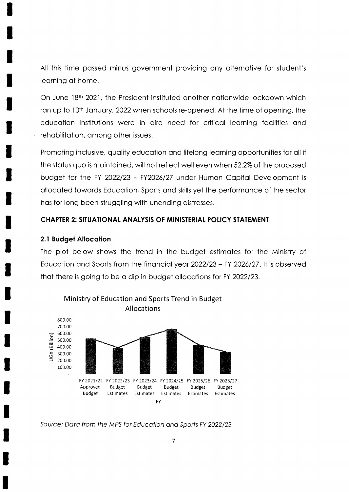All this time passed minus government providing any alternative for student's learning at home.

On June 18th 2021, the President instituted another nationwide lockdown which ran up to 10<sup>th</sup> January, 2022 when schools re-opened. At the time of opening, the education institutions were in dire need for critical learning facilities and rehabilitation, among other issues.

Promoting inclusive, quality education and lifelong learning opportunities for all if the status quo is maintained, will not reflect well even when 52.2% of the proposed budget for the FY 2022/23 - FY2026/27 under Human Capital Development is allocated towards Education, Sports and skills yet the performance of the sector has for long been struggling with unending distresses.

#### **CHAPTER 2: SITUATIONAL ANALYSIS OF MINISTERIAL POLICY STATEMENT**

#### **2.1 Budget Allocation**

The plot below shows the trend in the budget estimates for the Ministry of Education and Sports from the financial year 2022/23 - FY 2026/27. It is observed that there is going to be a dip in budget allocations for FY 2022/23.



Source: Data from the MPS for Education and Sports FY 2022/23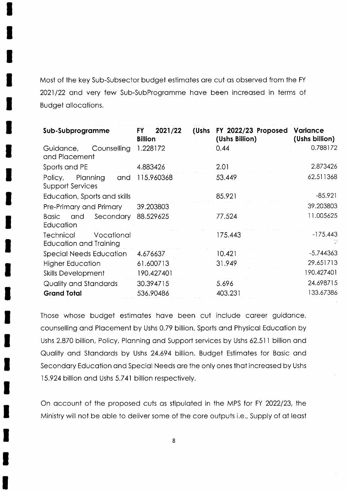Most of the key Sub-Subsector budget estimotes ore cut os observed from the FY 2021/22 and very few Sub-SubProgramme have been increased in terms of Budget ollocotions.

| Sub-Subprogramme                                  | 2021/22<br>FY.<br><b>Billion</b> | FY 2022/23 Proposed<br>(Ushs<br>(Ushs Billion) | <b>Variance</b><br>(Ushs billion) |
|---------------------------------------------------|----------------------------------|------------------------------------------------|-----------------------------------|
| Counselling<br>Guidance,<br>and Placement         | 1.228172                         | 0.44                                           | 0.788172                          |
| Sports and PE                                     | 4.883426                         | 2.01                                           | 2.873426                          |
| Policy, Planning<br><b>Support Services</b>       | and 115.960368                   | 53.449                                         | 62.511368                         |
| Education, Sports and skills                      |                                  | 85.921                                         | $-85.921$                         |
| Pre-Primary and Primary                           | 39.203803                        |                                                | 39.203803                         |
| Secondary<br><b>Basic</b><br>and<br>Education     | 88.529625                        | 77.524                                         | 11.005625                         |
| Technical<br>Vocational<br>Education and Training |                                  | 175.443                                        | $-175.443$                        |
| <b>Special Needs Education</b>                    | 4.676637                         | 10.421                                         | $-5.744363$                       |
| Higher Education                                  | 61.600713                        | 31.949                                         | 29.651713                         |
| <b>Skills Development</b>                         | 190.427401                       |                                                | 190.427401                        |
| Quality and Standards                             | 30.394715                        | 5.696                                          | 24.698715                         |
| <b>Grand Total</b>                                | 536.90486                        | 403.231                                        | 133.67386                         |

Those whose budget estimotes hove been cut include coreer guidonce, counselling ond Plocement by Ushs 0.79 billion, Sports ond Physicol Educotion by Ushs 2.870 billion, Policy, Planning and Support services by Ushs 62.511 billion and Quolity ond Stondords by Ushs 24.694 billion. Budget Estimotes for Bosic ond Secondary Education and Special Needs are the only ones that increased by Ushs 15.924 billion ond Ushs 5.741 billion respectively.

On account of the proposed cuts as stipulated in the MPS for FY 2022/23, the Ministry will not be oble to deliver some of the core outputs i.e., Supply of of leost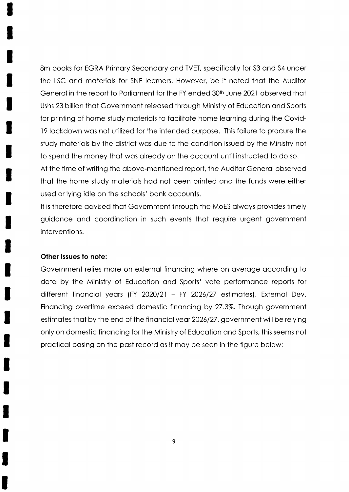Bm books for EGRA Primory Secondory ond TVET, specificolly for 53 ond 54 under the LSC ond moteriols for SNE leorners. However, be it noted thot the Auditor General in the report to Parliament for the FY ended 30<sup>th</sup> June 2021 observed that Ushs 23 billion thot Government releosed through Ministry of Educotion ond Sports for printing of home study moteriols to focilitote home leorning during the Covidl9 lockdown wos not utilized for the intended purpose. This foilure to procure the study moteriols by the district wos due to the condition issued by the Ministry not to spend the money thot wos olreody on the occount until instructed to do so. At the time of writing the obove-mentioned report, the Auditor Generol observed thot the home study moteriols hod not been printed ond the funds were either

used or lying idle on the schools' bonk occounts.

It is therefore odvised thot Government through the MoES olwoys provides timely guidonce ond coordinotion in such events thot require urgent government interventions.

#### Other Issues to note:

Government relies more on externol finoncing where on overoge occording to data by the Ministry of Education and Sports' vote performance reports for different financial years (FY 2020/21 - FY 2026/27 estimates), External Dev. Finoncing overtime exceed domestic finoncing by 27.3%. Though government estimates that by the end of the financial year 2026/27, government will be relying only on domestic finoncing for the Ministry of Educotion ond Sports, this seems not procticol bosing on the post record os it moy be seen in the figure below: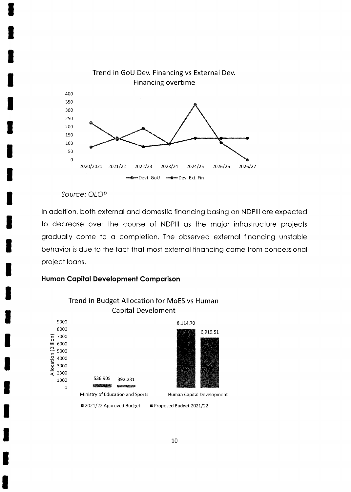

#### Source: OLOP

In addition, both external and domestic financing basing on NDPIII are expected to decrease over the course of NDPIII as the major infrastructure projects gradually come to a completion. The observed external financing unstable behavior is due to the fact that most external financing come from concessional project loans.

#### **Human Capital Development Comparison**



# Trend in Budget Allocation for MoES vs Human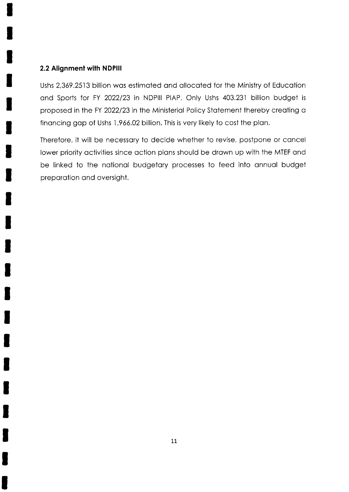#### 2.2 Alignment with NDPlll

Ushs 2,369.2513 billion was estimated and allocated for the Ministry of Education and Sports for FY 2022/23 in NDPIII PIAP. Only Ushs 403.231 billion budget is proposed in the FY 2022/23 in the Ministerial Policy Statement thereby creating a finoncing gop of Ushs I ,966.02 billion. This is very likely to cost the plon.

Therefore, it will be necessory to decide whether to revise, postpone or concel lower priority activities since action plans should be drawn up with the MTEF and be linked to the notionol budgetory processes to feed into onnuol budget preporotion ond oversight.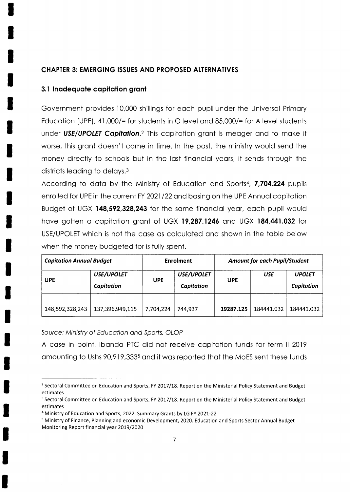#### **CHAPTER 3: EMERGING ISSUES AND PROPOSED ALTERNATIVES**

#### 3.1 Inadequate capitation grant

Government provides 10,000 shillings for each pupil under the Universal Primary Education (UPE), 41,000/= for students in O level and 85,000/= for A level students under USE/UPOLET Capitation.<sup>2</sup> This capitation grant is meager and to make it worse, this grant doesn't come in time. In the past, the ministry would send the money directly to schools but in the last financial years, it sends through the districts leading to delays.<sup>3</sup>

According to data by the Ministry of Education and Sports<sup>4</sup>, 7,704,224 pupils enrolled for UPE in the current FY 2021/22 and basing on the UPE Annual capitation Budget of UGX 148,592,328,243 for the same financial year, each pupil would have gotten a capitation grant of UGX 19,287.1246 and UGX 184,441.032 for USE/UPOLET which is not the case as calculated and shown in the table below when the money budgeted for is fully spent.

| <b>Capitation Annual Budget</b> |                                 | <b>Enrolment</b> |                          | <b>Amount for each Pupil/Student</b> |            |                             |
|---------------------------------|---------------------------------|------------------|--------------------------|--------------------------------------|------------|-----------------------------|
| <b>UPE</b>                      | <b>USE/UPOLET</b><br>Capitation | <b>UPE</b>       | USE/UPOLET<br>Capitation | <b>UPE</b>                           | <b>USE</b> | <b>UPOLET</b><br>Capitation |
| 148,592,328,243                 | 137,396,949,115                 | 7,704,224        | 744,937                  | 19287.125                            | 184441.032 | 184441.032                  |

Source: Ministry of Education and Sports, OLOP

A case in point, Ibanda PTC did not receive capitation funds for term II 2019 amounting to Ushs 90,919,333<sup>5</sup> and it was reported that the MoES sent these funds

<sup>&</sup>lt;sup>2</sup> Sectoral Committee on Education and Sports, FY 2017/18. Report on the Ministerial Policy Statement and Budget estimates

<sup>&</sup>lt;sup>3</sup> Sectoral Committee on Education and Sports, FY 2017/18. Report on the Ministerial Policy Statement and Budget estimates

<sup>&</sup>lt;sup>4</sup> Ministry of Education and Sports, 2022. Summary Grants by LG FY 2021-22

<sup>&</sup>lt;sup>5</sup> Ministry of Finance, Planning and economic Development, 2020. Education and Sports Sector Annual Budget Monitoring Report financial year 2019/2020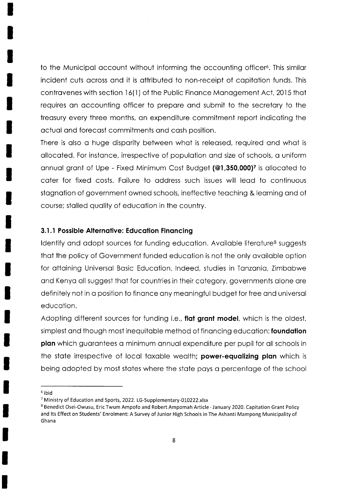to the Municipal account without informing the accounting officer<sup>6</sup>. This similar incident cuts ocross ond it is ottributed to non-receipt of copitotion funds. This contravenes with section 16(1) of the Public Finance Management Act, 2015 that requires on occounting officer to prepore ond submit to the secretory to the treosury every three months, on expenditure commitment report indicoting the octuol ond forecost commitments qnd cosh position.

There is also a huge disparity between what is released, required and what is allocated. For instance, irrespective of population and size of schools, a uniform annual grant of Upe - Fixed Minimum Cost Budget (@1,350,000)<sup>7</sup> is allocated to coter for fixed costs. Foilure to oddress such issues will leod to continuous stognotion of government owned schools, ineffective teoching & leorning ond of course; stolled quolity of educotion in the country.

#### 3.1.1 Possible Allernqtive: Educotion Finoncing

Identify and adopt sources for funding education. Available literature<sup>8</sup> suggests that the policy of Government funded education is not the only available option for ottoining Universol Bosic Educotion. lndeed, studies in Tonzonio, Zimbobwe ond Kenyo oll suggest thot for countries in their cotegory, governments olone ore definitely not in a position to finance any meaningful budget for free and universal educotion.

Adopting different sources for funding i.e., flat grant model, which is the oldest, simplest and though most inequitable method of financing education; foundation plan which guarantees a minimum annual expenditure per pupil for all schools in the state irrespective of local taxable wealth; power-equalizing plan which is being odopted by most stotes where the stote poys o percentoge of the school

<sup>6</sup>ibid

<sup>&</sup>lt;sup>7</sup> Ministry of Education and Sports, 2022. LG-Supplementary-010222.xlsx

<sup>&</sup>lt;sup>8</sup> Benedict Osei-Owusu, Eric Twum Ampofo and Robert Ampomah Article · January 2020. Capitation Grant Policy and lts Effect on Students' Enrolment: A Survey of Junior High Schools in The Ashanti Mampong Municipality of Ghana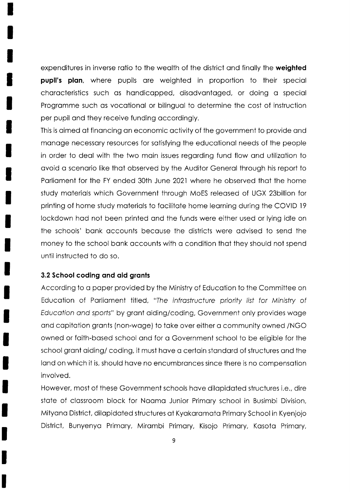expenditures in inverse ratio to the wealth of the district and finally the weighted pupil's plan, where pupils are weighted in proportion to their special chorocteristics such os hondicopped, disodvontoged, or doing o speciol Programme such as vocational or bilingual to determine the cost of instruction per pupil ond they receive funding occordingly.

This is oimed of finoncing on economic octivity of the government to provide ond monoge necessory resources for sotisfying the educotionol needs of the people in order to deol with the two moin issues regording fund flow ond utilizotion to avoid a scenario like that observed by the Auditor General through his report to Porlioment for the FY ended 30th June 2021 where he observed thot the home study materials which Government through MoES released of UGX 23billion for printing of home study moteriols to focilitote home leorning during the COVID l9 lockdown hod not been printed ond the funds were either used or lying idle on the schools' bonk occounts becouse the districts were odvised to send the money to the school bank accounts with a condition that they should not spend until instructed to do so.

#### 3.2 School coding and aid grants

According to o poper provided by the Ministry of Educotion to the Committee on Educotion of Porlioment titled, "fhe infrosfrucfure priority lisf for Minisfry of Educofion ond sporfs" by gront oiding/coding, Government only provides wqge ond copitotion gronts (non-woge) to toke over either o community owned /NGO owned or faith-based school and for a Government school to be eligible for the school grant aiding/ coding, it must have a certain standard of structures and the land on which it is, should have no encumbrances since there is no compensation involved.

However, most of these Government schools have dilapidated structures i.e., dire state of classroom block for Naama Junior Primary school in Busimbi Division, Mityono District, dilopidoted structures of Kyokoromoto Primory School in Kyenjojo District, Bunyenyo Primory, Mirombi Primory, Kisojo Primory, Kosoto Primory,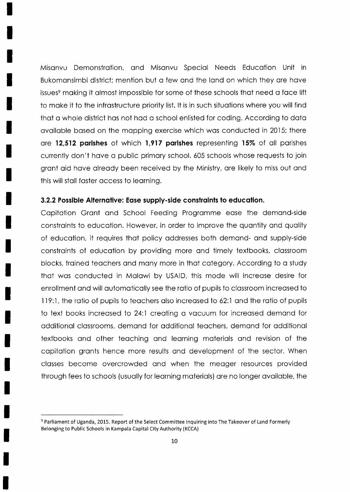Misonvu Demonstrotion, qnd Misonvu Speciol Needs Educotion Unit in Bukomansimbi district; mention but a few and the land on which they are have issues<sup>9</sup> making it almost impossible for some of these schools that need a face lift to moke it to the infrostructure priority list. lt is in such situotions where you will find thot o whole district hos not hod o school enlisted for coding. According to doto available based on the mapping exercise which was conducted in 2015; there are 12,512 parishes of which 1,917 parishes representing 15% of all parishes currently don't hove o public primory school. 605 schools whose requests to join gront oid hove olreody been received by the Ministry, ore likely to miss out ond this will stoll foster occess to leorning.

#### 3.2.2 Possible Alternative: Ease supply-side constraints to education.

Copitotion Gront ond School Feeding Progromme eose the demond-side constraints to education. However, in order to improve the quantity and quality of educotion, it requires thot policy oddresses both demond- ond supply-side constraints of education by providing more and timely textbooks, classroom blocks, trained teachers and many more in that category. According to a study thot wos conducted in Molowi by USAID, this mode will increose desire for enrollment ond will outomoticolly see the rotio of pupils to clossroom increosed to 119:1, the ratio of pupils to teachers also increased to 62:1 and the ratio of pupils to text books increosed to 24:1 creoting o vocuum for increosed demond for odditionol clossrooms, demond for odditionol teochers, demond for odditionol textbooks ond other teoching ond leorning moteriols ond revision of the copitotion gronts hence more results ond development of the sector. When classes become overcrowded and when the meager resources provided through fees to schools (usuolly for leorning moteriols) ore no longer ovoiloble, the

<sup>&</sup>lt;sup>9</sup> Parliament of Uganda, 2015. Report of the Select Committee Inquiring into The Takeover of Land Formerly Belonging to Public Schools in Kampala Capital City Authority (KCCA)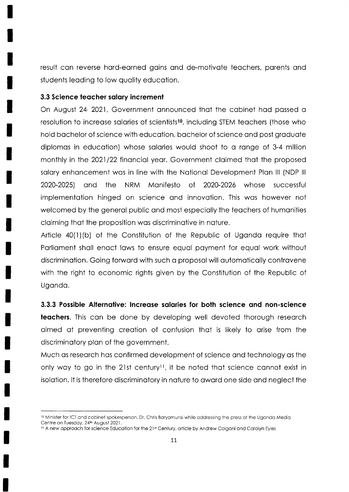result can reverse hard-earned gains and de-motivate teachers, parents and students leading to low quality education.

#### 3.3 Science teacher salary increment

On August 24/2021, Government announced that the cabinet had passed a resolution to increase salaries of scientists<sup>10</sup>, including STEM teachers (those who hold bachelor of science with education, bachelor of science and post graduate diplomas in education) whose salaries would shoot to a range of 3-4 million monthly in the 2021/22 financial year. Government claimed that the proposed salary enhancement was in line with the National Development Plan III (NDP III 2020-2025) the NRM Manifesto of 2020-2026 whose and successful implementation hinged on science and innovation. This was however not welcomed by the general public and most especially the teachers of humanities claiming that the proposition was discriminative in nature.

Article 40(1)(b) of the Constitution of the Republic of Uganda require that Parliament shall enact laws to ensure equal payment for equal work without discrimination. Going forward with such a proposal will automatically contravene with the right to economic rights given by the Constitution of the Republic of Uganda.

3.3.3 Possible Alternative: Increase salaries for both science and non-science

teachers. This can be done by developing well devoted thorough research aimed at preventing creation of confusion that is likely to arise from the discriminatory plan of the government.

Much as research has confirmed development of science and technology as the only way to go in the 21st century<sup>11</sup>, it be noted that science cannot exist in isolation. It is therefore discriminatory in nature to award one side and neglect the

<sup>&</sup>lt;sup>10</sup> Minister for ICT and cabinet spokesperson, Dr. Chris Baryomunsi while addressing the press at the Uganda Media Centre on Tuesday, 24th August 2021.

<sup>&</sup>lt;sup>11</sup> A new approach for science Education for the 21st Century, article by Andrew Colgoni and Carolyn Eyles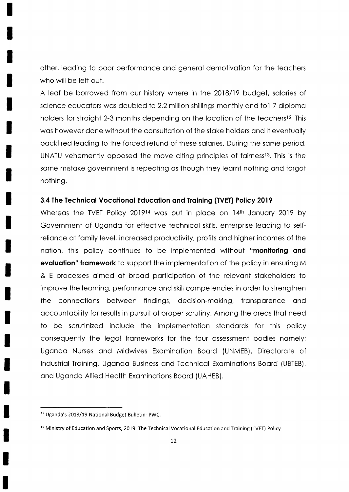other, leading to poor performance and general demotivation for the teachers who will be left out.

A leaf be borrowed from our history where in the 2018/19 budget, salaries of science educators was doubled to 2.2 million shillings monthly and to1.7 diploma holders for straight 2-3 months depending on the location of the teachers<sup>12.</sup> This was however done without the consultation of the stake holders and it eventually bockfired leoding to the forced refund of these solories. During the some period, UNATU vehemently opposed the move citing principles of fairness<sup>13</sup>. This is the some mistoke government is repeoting os though they leornt nothing ond forgot nothing.

#### 3.4 The Technical Vocational Education and Training (TVET) Policy 2019

Whereas the TVET Policy 2019<sup>14</sup> was put in place on 14th January 2019 by Government of Ugondo for effective technicol skills, enterprise leoding to selfreliance at family level, increased productivity, profits and higher incomes of the nation, this policy continues to be implemented without "monitoring and evaluation" framework to support the implementation of the policy in ensuring M & E processes oimed of brood porticipotion of the relevont stokeholders to improve the leorning, performonce ond skill competencies in order to strengthen the connections between findings, decision-making, transparence and occountobility for results in pursuit of proper scrutiny. Among the oreos thot need to be scrutinized include the implementation standards for this policy consequently the legol fromeworks for the four ossessment bodies nomely; Ugondo Nurses ond Midwives Exominotion Boord (UNMEB), Directorote of lndustriol Troining, Ugondo Business ond Technicol Exominotions Boord (UBTEB), ond Ugondo Allied Heolth Exominotions Boord (UAHEB).

<sup>&</sup>lt;sup>12</sup> Uganda's 2018/19 National Budget Bulletin- PWC,

<sup>&</sup>lt;sup>14</sup> Ministry of Education and Sports, 2019. The Technical Vocational Education and Training (TVET) Policy